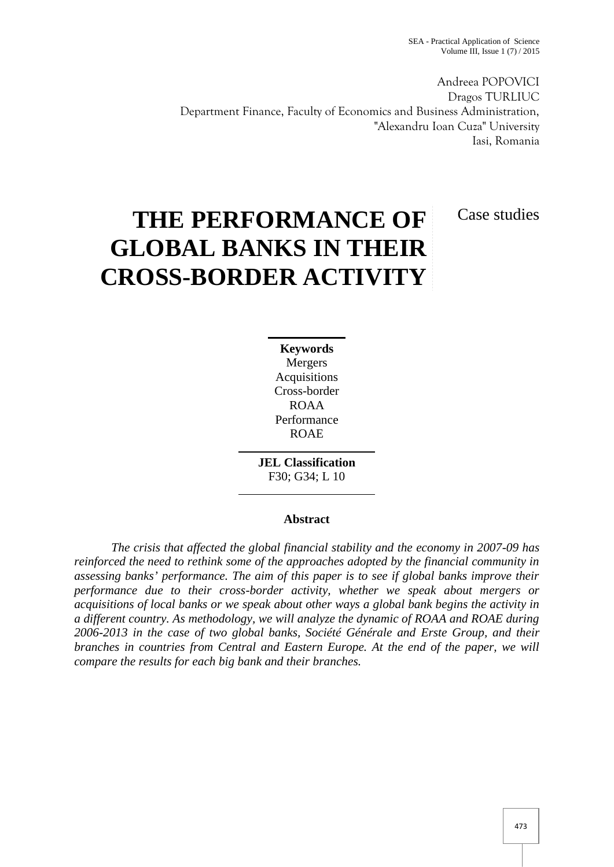Andreea POPOVICI Dragos TURLIUC Department Finance, Faculty of Economics and Business Administration, "Alexandru Ioan Cuza" University Iasi, Romania

Case studies

# **THE PERFORMANCE OF GLOBAL BANKS IN THEIR CROSS-BORDER ACTIVITY**

**Keywords** Mergers Acquisitions Cross-border ROAA Performance ROAE

**JEL Classification** F30; G34; L 10

### **Abstract**

*The crisis that affected the global financial stability and the economy in 2007-09 has reinforced the need to rethink some of the approaches adopted by the financial community in assessing banks' performance. The aim of this paper is to see if global banks improve their performance due to their cross-border activity, whether we speak about mergers or acquisitions of local banks or we speak about other ways a global bank begins the activity in a different country. As methodology, we will analyze the dynamic of ROAA and ROAE during 2006-2013 in the case of two global banks, Société Générale and Erste Group, and their branches in countries from Central and Eastern Europe. At the end of the paper, we will compare the results for each big bank and their branches.*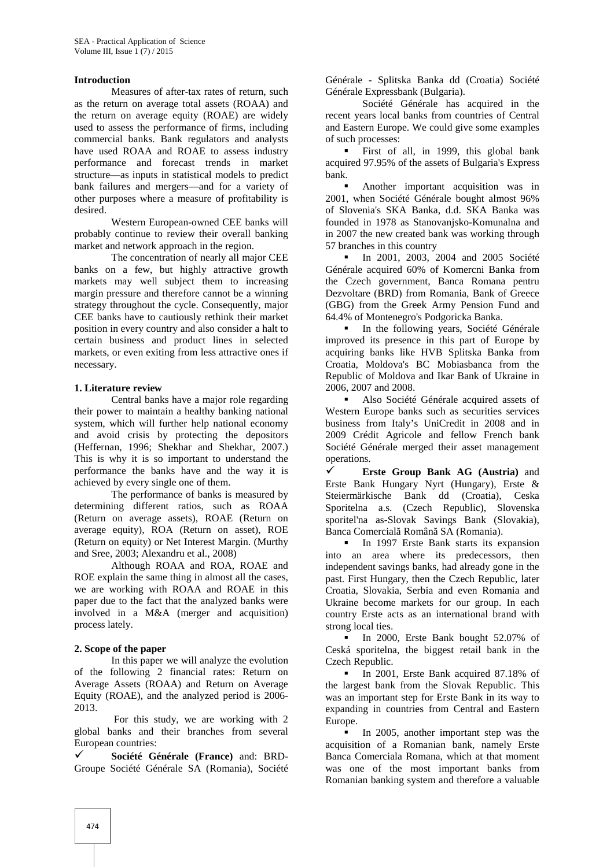#### **Introduction**

Measures of after-tax rates of return, such as the return on average total assets (ROAA) and the return on average equity (ROAE) are widely used to assess the performance of firms, including commercial banks. Bank regulators and analysts have used ROAA and ROAE to assess industry performance and forecast trends in market structure—as inputs in statistical models to predict bank failures and mergers—and for a variety of other purposes where a measure of profitability is desired.

Western European-owned CEE banks will probably continue to review their overall banking market and network approach in the region.

The concentration of nearly all major CEE banks on a few, but highly attractive growth markets may well subject them to increasing margin pressure and therefore cannot be a winning strategy throughout the cycle. Consequently, major CEE banks have to cautiously rethink their market position in every country and also consider a halt to certain business and product lines in selected markets, or even exiting from less attractive ones if necessary.

#### **1. Literature review**

Central banks have a major role regarding their power to maintain a healthy banking national system, which will further help national economy and avoid crisis by protecting the depositors (Heffernan, 1996; Shekhar and Shekhar, 2007.) This is why it is so important to understand the performance the banks have and the way it is achieved by every single one of them.

The performance of banks is measured by determining different ratios, such as ROAA (Return on average assets), ROAE (Return on average equity), ROA (Return on asset), ROE (Return on equity) or Net Interest Margin. (Murthy and Sree, 2003; Alexandru et al., 2008)

Although ROAA and ROA, ROAE and ROE explain the same thing in almost all the cases, we are working with ROAA and ROAE in this paper due to the fact that the analyzed banks were involved in a M&A (merger and acquisition) process lately.

#### **2. Scope of the paper**

In this paper we will analyze the evolution of the following 2 financial rates: Return on Average Assets (ROAA) and Return on Average Equity (ROAE), and the analyzed period is 2006- 2013.

For this study, we are working with 2 global banks and their branches from several European countries:

 **Société Générale (France)** and: BRD- Groupe Société Générale SA (Romania), Société Générale - Splitska Banka dd (Croatia) Société Générale Expressbank (Bulgaria).

Société Générale has acquired in the recent years local banks from countries of Central and Eastern Europe. We could give some examples of such processes:

 First of all, in 1999, this global bank acquired 97.95% of the assets of Bulgaria's Express bank.

 Another important acquisition was in 2001, when Société Générale bought almost 96% of Slovenia's SKA Banka, d.d. SKA Banka was founded in 1978 as Stanovanjsko-Komunalna and in 2007 the new created bank was working through 57 branches in this country

In 2001, 2003, 2004 and 2005 Société Générale acquired 60% of Komercni Banka from the Czech government, Banca Romana pentru Dezvoltare (BRD) from Romania, Bank of Greece (GBG) from the Greek Army Pension Fund and 64.4% of Montenegro's Podgoricka Banka.

In the following years, Société Générale improved its presence in this part of Europe by acquiring banks like HVB Splitska Banka from Croatia, Moldova's BC Mobiasbanca from the Republic of Moldova and Ikar Bank of Ukraine in 2006, 2007 and 2008.

 Also Société Générale acquired assets of Western Europe banks such as securities services business from Italy's UniCredit in 2008 and in 2009 Crédit Agricole and fellow French bank Société Générale merged their asset management operations.

 **Erste Group Bank AG (Austria)** and Erste Bank Hungary Nyrt (Hungary), Erste & Steiermärkische Bank dd (Croatia), Ceska Sporitelna a.s. (Czech Republic), Slovenska sporitel'na as-Slovak Savings Bank (Slovakia), Banca Comercial Român SA (Romania).

In 1997 Erste Bank starts its expansion into an area where its predecessors, then independent savings banks, had already gone in the past. First Hungary, then the Czech Republic, later Croatia, Slovakia, Serbia and even Romania and Ukraine become markets for our group. In each country Erste acts as an international brand with strong local ties.

In 2000, Erste Bank bought 52.07% of Ceská sporitelna, the biggest retail bank in the Czech Republic.

In 2001, Erste Bank acquired 87.18% of the largest bank from the Slovak Republic. This was an important step for Erste Bank in its way to expanding in countries from Central and Eastern Europe.

In 2005, another important step was the acquisition of a Romanian bank, namely Erste Banca Comerciala Romana, which at that moment was one of the most important banks from Romanian banking system and therefore a valuable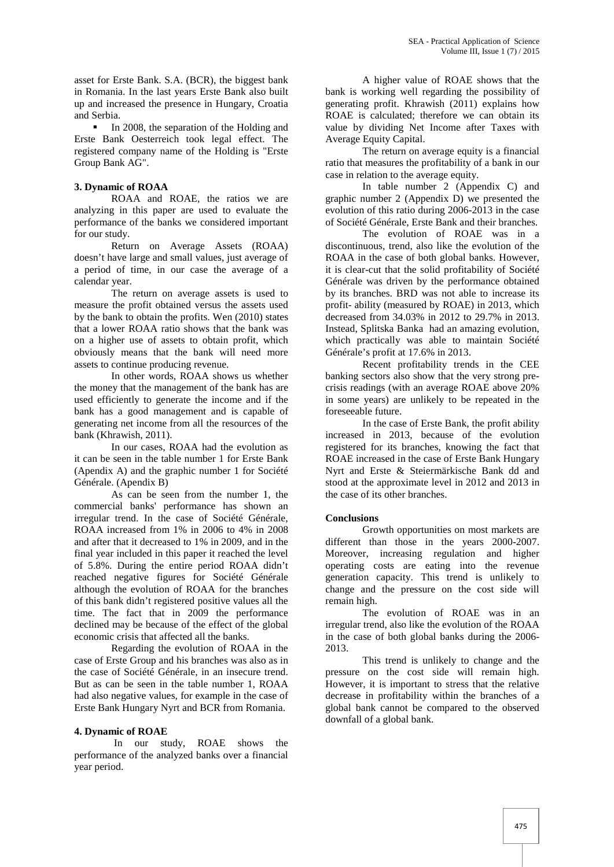asset for Erste Bank. S.A. (BCR), the biggest bank in Romania. In the last years Erste Bank also built up and increased the presence in Hungary, Croatia and Serbia.

 In 2008, the separation of the Holding and Erste Bank Oesterreich took legal effect. The registered company name of the Holding is "Erste Group Bank AG".

#### **3. Dynamic of ROAA**

ROAA and ROAE, the ratios we are analyzing in this paper are used to evaluate the performance of the banks we considered important for our study.

Return on Average Assets (ROAA) doesn't have large and small values, just average of a period of time, in our case the average of a calendar year.

The return on average assets is used to measure the profit obtained versus the assets used by the bank to obtain the profits. Wen (2010) states that a lower ROAA ratio shows that the bank was on a higher use of assets to obtain profit, which obviously means that the bank will need more assets to continue producing revenue.

In other words, ROAA shows us whether the money that the management of the bank has are used efficiently to generate the income and if the bank has a good management and is capable of generating net income from all the resources of the bank (Khrawish, 2011).

In our cases, ROAA had the evolution as it can be seen in the table number 1 for Erste Bank (Apendix A) and the graphic number 1 for Société Générale. (Apendix B)

As can be seen from the number 1, the commercial banks' performance has shown an irregular trend. In the case of Société Générale, ROAA increased from 1% in 2006 to 4% in 2008 and after that it decreased to 1% in 2009, and in the final year included in this paper it reached the level of 5.8%. During the entire period ROAA didn't reached negative figures for Société Générale although the evolution of ROAA for the branches of this bank didn't registered positive values all the time. The fact that in 2009 the performance declined may be because of the effect of the global economic crisis that affected all the banks.

Regarding the evolution of ROAA in the case of Erste Group and his branches was also as in the case of Société Générale, in an insecure trend. But as can be seen in the table number 1, ROAA had also negative values, for example in the case of Erste Bank Hungary Nyrt and BCR from Romania.

#### **4. Dynamic of ROAE**

In our study, ROAE shows the performance of the analyzed banks over a financial year period.

A higher value of ROAE shows that the bank is working well regarding the possibility of generating profit. Khrawish (2011) explains how ROAE is calculated; therefore we can obtain its value by dividing Net Income after Taxes with Average Equity Capital.

The return on average equity is a financial ratio that measures the profitability of a bank in our case in relation to the average equity.

In table number 2 (Appendix C) and graphic number 2 (Appendix D) we presented the evolution of this ratio during 2006-2013 in the case of Société Générale, Erste Bank and their branches.

The evolution of ROAE was in a discontinuous, trend, also like the evolution of the ROAA in the case of both global banks. However, it is clear-cut that the solid profitability of Société Générale was driven by the performance obtained by its branches. BRD was not able to increase its profit- ability (measured by ROAE) in 2013, which decreased from 34.03% in 2012 to 29.7% in 2013. Instead, Splitska Banka had an amazing evolution, which practically was able to maintain Société Générale's profit at 17.6% in 2013.

Recent profitability trends in the CEE banking sectors also show that the very strong pre crisis readings (with an average ROAE above 20% in some years) are unlikely to be repeated in the foreseeable future.

In the case of Erste Bank, the profit ability increased in 2013, because of the evolution registered for its branches, knowing the fact that ROAE increased in the case of Erste Bank Hungary Nyrt and Erste & Steiermärkische Bank dd and stood at the approximate level in 2012 and 2013 in the case of its other branches.

#### **Conclusions**

Growth opportunities on most markets are different than those in the years 2000-2007. Moreover, increasing regulation and higher operating costs are eating into the revenue generation capacity. This trend is unlikely to change and the pressure on the cost side will remain high.

The evolution of ROAE was in an irregular trend, also like the evolution of the ROAA in the case of both global banks during the 2006- 2013.

This trend is unlikely to change and the pressure on the cost side will remain high. However, it is important to stress that the relative decrease in profitability within the branches of a global bank cannot be compared to the observed downfall of a global bank.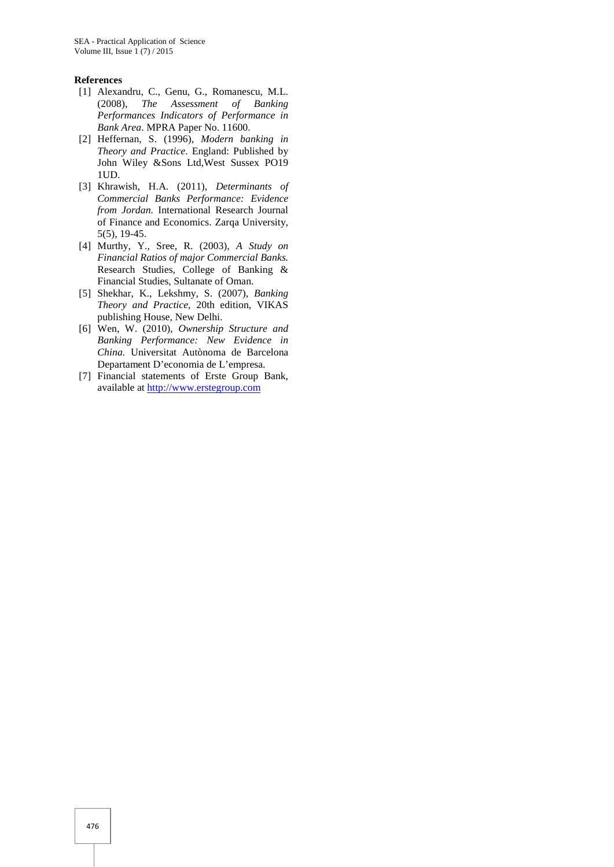#### **References**

- [1] Alexandru, C., Genu, G., Romanescu, M.L. (2008), *The Assessment of Banking Performances Indicators of Performance in Bank Area*. MPRA Paper No. 11600.
- [2] Heffernan, S. (1996), *Modern banking in Theory and Practice*. England: Published by John Wiley &Sons Ltd,West Sussex PO19 1UD.
- [3] Khrawish, H.A. (2011), *Determinants of Commercial Banks Performance: Evidence from Jordan.* International Research Journal of Finance and Economics. Zarqa University, 5(5), 19-45.
- [4] Murthy, Y., Sree, R. (2003), *A Study on Financial Ratios of major Commercial Banks.* Research Studies, College of Banking & Financial Studies, Sultanate of Oman.
- [5] Shekhar, K., Lekshmy, S. (2007), *Banking Theory and Practice*, 20th edition, VIKAS publishing House, New Delhi.
- [6] Wen, W. (2010), *Ownership Structure and Banking Performance: New Evidence in China.* Universitat Autònoma de Barcelona Departament D'economia de L'empresa.
- [7] Financial statements of Erste Group Bank, available at http://www.erstegroup.com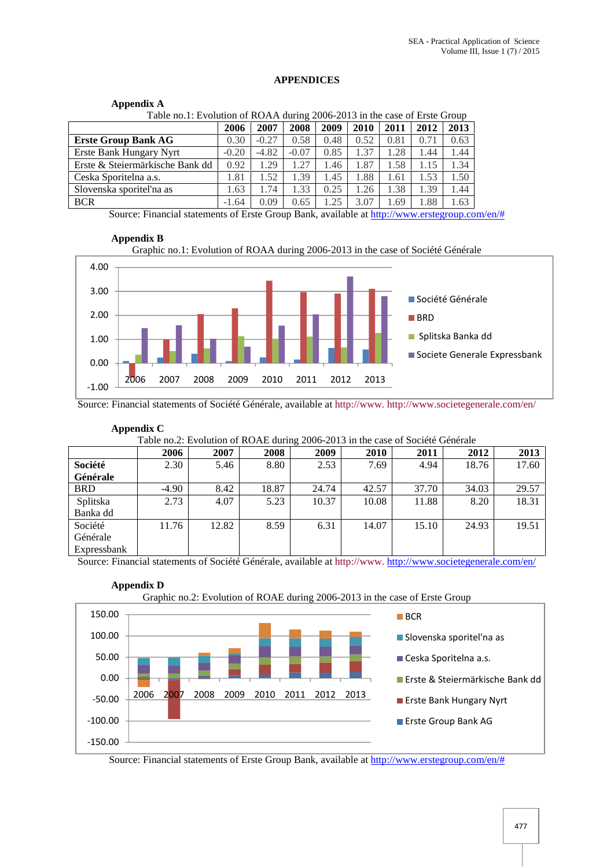## **APPENDICES**

# **Appendix A**

| Table no.1: Evolution of ROAA during 2006-2013 in the case of Erste Group |         |         |         |      |      |      |      |      |  |  |  |
|---------------------------------------------------------------------------|---------|---------|---------|------|------|------|------|------|--|--|--|
|                                                                           | 2006    | 2007    | 2008    | 2009 | 2010 | 2011 | 2012 | 2013 |  |  |  |
| <b>Erste Group Bank AG</b>                                                | 0.30    | $-0.27$ | 0.58    | 0.48 | 0.52 | 0.81 | 0.71 | 0.63 |  |  |  |
| Erste Bank Hungary Nyrt                                                   | $-0.20$ | $-4.82$ | $-0.07$ | 0.85 | 1.37 | 1.28 | .44  | 1.44 |  |  |  |
| Erste & Steiermärkische Bank dd                                           | 0.92    | 1.29    | 1.27    | 1.46 | 1.87 | 1.58 | 1.15 | 1.34 |  |  |  |
| Ceska Sporitelna a.s.                                                     | 1.81    | 1.52    | 1.39    | 1.45 | 1.88 | 1.61 | l.53 | 1.50 |  |  |  |
| Slovenska sporiteľna as                                                   | 1.63    | 1.74    | 1.33    | 0.25 | 1.26 | 1.38 | 1.39 | 1.44 |  |  |  |
| <b>BCR</b>                                                                | $-1.64$ | 0.09    | 0.65    | .25  | 3.07 | 1.69 | .88  | 1.63 |  |  |  |

Source: Financial statements of Erste Group Bank, available at http://www.erstegroup.com/en/#

#### **Appendix B**





Source: Financial statements of Société Générale, available at http://www. http://www.societegenerale.com/en/

**Appendix C**

Table no.2: Evolution of ROAE during 2006-2013 in the case of Société Générale

|             | Twill hold in order of two the calling 2000 2015 in the case of society centerate |       |       |       |             |       |       |       |  |  |  |
|-------------|-----------------------------------------------------------------------------------|-------|-------|-------|-------------|-------|-------|-------|--|--|--|
|             | 2006                                                                              | 2007  | 2008  | 2009  | <b>2010</b> | 2011  | 2012  | 2013  |  |  |  |
| Société     | 2.30                                                                              | 5.46  | 8.80  | 2.53  | 7.69        | 4.94  | 18.76 | 17.60 |  |  |  |
| Générale    |                                                                                   |       |       |       |             |       |       |       |  |  |  |
| <b>BRD</b>  | $-4.90$                                                                           | 8.42  | 18.87 | 24.74 | 42.57       | 37.70 | 34.03 | 29.57 |  |  |  |
| Splitska    | 2.73                                                                              | 4.07  | 5.23  | 10.37 | 10.08       | 11.88 | 8.20  | 18.31 |  |  |  |
| Banka dd    |                                                                                   |       |       |       |             |       |       |       |  |  |  |
| Société     | 11.76                                                                             | 12.82 | 8.59  | 6.31  | 14.07       | 15.10 | 24.93 | 19.51 |  |  |  |
| Générale    |                                                                                   |       |       |       |             |       |       |       |  |  |  |
| Expressbank |                                                                                   |       |       |       |             |       |       |       |  |  |  |

Source: Financial statements of Société Générale, available at http://www.http://www.societegenerale.com/en/



Source: Financial statements of Erste Group Bank, available at http://www.erstegroup.com/en/#